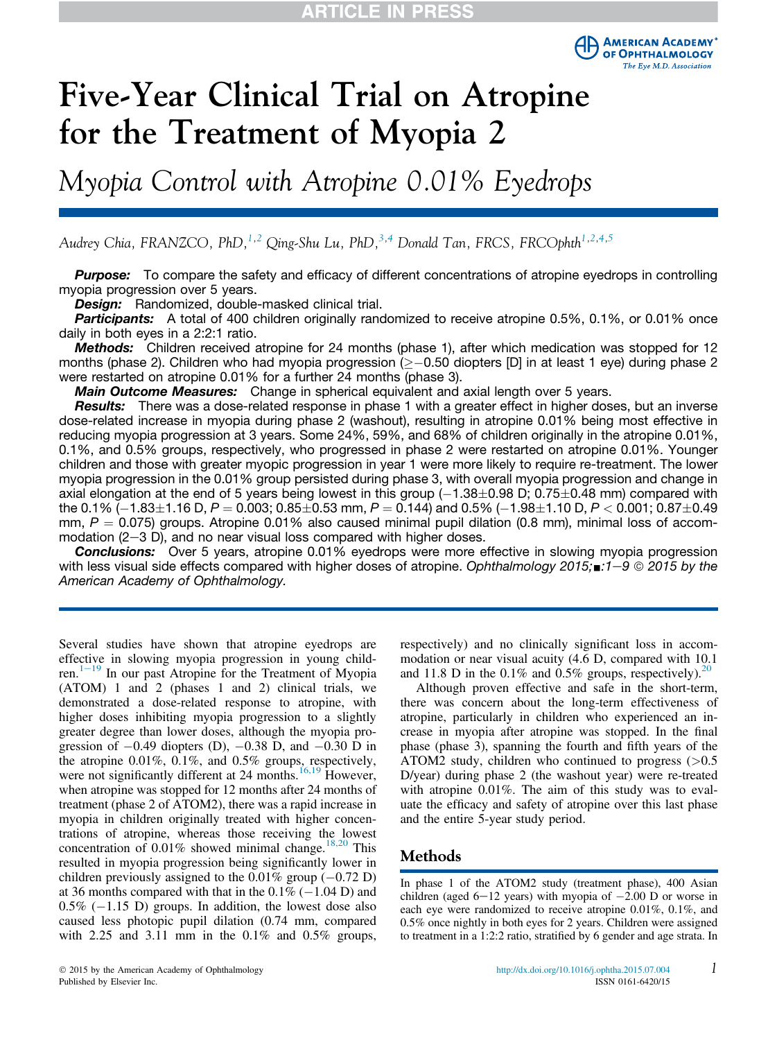

# Five-Year Clinical Trial on Atropine for the Treatment of Myopia 2

Myopia Control with Atropine 0.01% Eyedrops

Audrey Chia, FRANZCO, PhD,<sup>1,2</sup> Qing-Shu Lu, PhD,<sup>3,4</sup> Donald Tan, FRCS, FRCOphth<sup>1,2,4,5</sup>

**Purpose:** To compare the safety and efficacy of different concentrations of atropine eyedrops in controlling myopia progression over 5 years.

Design: Randomized, double-masked clinical trial.

Participants: A total of 400 children originally randomized to receive atropine 0.5%, 0.1%, or 0.01% once daily in both eyes in a 2:2:1 ratio.

Methods: Children received atropine for 24 months (phase 1), after which medication was stopped for 12 months (phase 2). Children who had myopia progression ( $\geq -0.50$  diopters [D] in at least 1 eye) during phase 2 were restarted on atropine 0.01% for a further 24 months (phase 3).

**Main Outcome Measures:** Change in spherical equivalent and axial length over 5 years.

Results: There was a dose-related response in phase 1 with a greater effect in higher doses, but an inverse dose-related increase in myopia during phase 2 (washout), resulting in atropine 0.01% being most effective in reducing myopia progression at 3 years. Some 24%, 59%, and 68% of children originally in the atropine 0.01%, 0.1%, and 0.5% groups, respectively, who progressed in phase 2 were restarted on atropine 0.01%. Younger children and those with greater myopic progression in year 1 were more likely to require re-treatment. The lower myopia progression in the 0.01% group persisted during phase 3, with overall myopia progression and change in axial elongation at the end of 5 years being lowest in this group  $(-1.38\pm0.98$  D; 0.75 $\pm$ 0.48 mm) compared with the 0.1%  $\left(-1.83\pm1.16\text{ D}, P=0.003\text{; } 0.85\pm0.53\text{ mm}, P=0.144\text{)}\right)$  and 0.5%  $\left(-1.98\pm1.10\text{ D}, P< 0.001\text{; } 0.87\pm0.49\text{ m}\right)$ mm,  $P = 0.075$ ) groups. Atropine 0.01% also caused minimal pupil dilation (0.8 mm), minimal loss of accommodation  $(2-3)$ , and no near visual loss compared with higher doses.

**Conclusions:** Over 5 years, atropine 0.01% eyedrops were more effective in slowing myopia progression with less visual side effects compared with higher doses of atropine. *Ophthalmology 2015;* $\pm 1$ –9 © 2015 by the *American Academy of Ophthalmology.*

Several studies have shown that atropine eyedrops are effective in slowing myopia progression in young children. $1-19$  In our past Atropine for the Treatment of Myopia (ATOM) 1 and 2 (phases 1 and 2) clinical trials, we demonstrated a dose-related response to atropine, with higher doses inhibiting myopia progression to a slightly greater degree than lower doses, although the myopia progression of  $-0.49$  diopters (D),  $-0.38$  D, and  $-0.30$  D in the atropine 0.01%, 0.1%, and 0.5% groups, respectively, were not significantly different at 24 months.<sup>16,19</sup> However, when atropine was stopped for 12 months after 24 months of treatment (phase 2 of ATOM2), there was a rapid increase in myopia in children originally treated with higher concentrations of atropine, whereas those receiving the lowest concentration of  $0.01\%$  showed minimal change.<sup>18,20</sup> This resulted in myopia progression being significantly lower in children previously assigned to the  $0.01\%$  group  $(-0.72 \text{ D})$ at 36 months compared with that in the  $0.1\%$  ( $-1.04$  D) and  $0.5\%$  (-1.15 D) groups. In addition, the lowest dose also caused less photopic pupil dilation (0.74 mm, compared with 2.25 and 3.11 mm in the  $0.1\%$  and  $0.5\%$  groups, respectively) and no clinically significant loss in accommodation or near visual acuity (4.6 D, compared with 10.1 and 11.8 D in the 0.1% and 0.5% groups, respectively).<sup>20</sup>

Although proven effective and safe in the short-term, there was concern about the long-term effectiveness of atropine, particularly in children who experienced an increase in myopia after atropine was stopped. In the final phase (phase 3), spanning the fourth and fifth years of the ATOM2 study, children who continued to progress  $(>0.5)$ D/year) during phase 2 (the washout year) were re-treated with atropine 0.01%. The aim of this study was to evaluate the efficacy and safety of atropine over this last phase and the entire 5-year study period.

#### Methods

In phase 1 of the ATOM2 study (treatment phase), 400 Asian children (aged  $6-12$  years) with myopia of  $-2.00$  D or worse in each eye were randomized to receive atropine 0.01%, 0.1%, and 0.5% once nightly in both eyes for 2 years. Children were assigned to treatment in a 1:2:2 ratio, stratified by 6 gender and age strata. In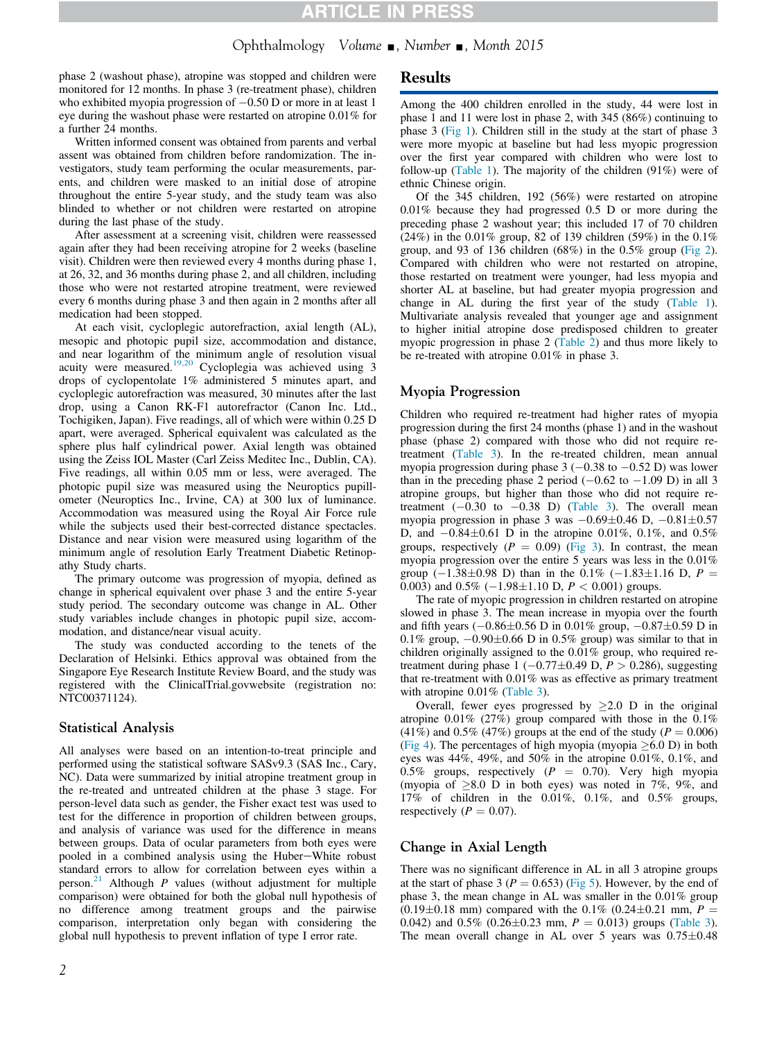### Ophthalmology Volume , Number , Month 2015

phase 2 (washout phase), atropine was stopped and children were monitored for 12 months. In phase 3 (re-treatment phase), children who exhibited myopia progression of  $-0.50$  D or more in at least 1 eye during the washout phase were restarted on atropine 0.01% for a further 24 months.

Written informed consent was obtained from parents and verbal assent was obtained from children before randomization. The investigators, study team performing the ocular measurements, parents, and children were masked to an initial dose of atropine throughout the entire 5-year study, and the study team was also blinded to whether or not children were restarted on atropine during the last phase of the study.

After assessment at a screening visit, children were reassessed again after they had been receiving atropine for 2 weeks (baseline visit). Children were then reviewed every 4 months during phase 1, at 26, 32, and 36 months during phase 2, and all children, including those who were not restarted atropine treatment, were reviewed every 6 months during phase 3 and then again in 2 months after all medication had been stopped.

At each visit, cycloplegic autorefraction, axial length (AL), mesopic and photopic pupil size, accommodation and distance, and near logarithm of the minimum angle of resolution visual acuity were measured.<sup>19,20</sup> Cycloplegia was achieved using 3 drops of cyclopentolate 1% administered 5 minutes apart, and cycloplegic autorefraction was measured, 30 minutes after the last drop, using a Canon RK-F1 autorefractor (Canon Inc. Ltd., Tochigiken, Japan). Five readings, all of which were within 0.25 D apart, were averaged. Spherical equivalent was calculated as the sphere plus half cylindrical power. Axial length was obtained using the Zeiss IOL Master (Carl Zeiss Meditec Inc., Dublin, CA). Five readings, all within 0.05 mm or less, were averaged. The photopic pupil size was measured using the Neuroptics pupillometer (Neuroptics Inc., Irvine, CA) at 300 lux of luminance. Accommodation was measured using the Royal Air Force rule while the subjects used their best-corrected distance spectacles. Distance and near vision were measured using logarithm of the minimum angle of resolution Early Treatment Diabetic Retinopathy Study charts.

The primary outcome was progression of myopia, defined as change in spherical equivalent over phase 3 and the entire 5-year study period. The secondary outcome was change in AL. Other study variables include changes in photopic pupil size, accommodation, and distance/near visual acuity.

The study was conducted according to the tenets of the Declaration of Helsinki. Ethics approval was obtained from the Singapore Eye Research Institute Review Board, and the study was registered with the ClinicalTrial.govwebsite (registration no: NTC00371124).

#### Statistical Analysis

All analyses were based on an intention-to-treat principle and performed using the statistical software SASv9.3 (SAS Inc., Cary, NC). Data were summarized by initial atropine treatment group in the re-treated and untreated children at the phase 3 stage. For person-level data such as gender, the Fisher exact test was used to test for the difference in proportion of children between groups, and analysis of variance was used for the difference in means between groups. Data of ocular parameters from both eyes were pooled in a combined analysis using the Huber-White robust standard errors to allow for correlation between eyes within a person.<sup>21</sup> Although  $P$  values (without adjustment for multiple comparison) were obtained for both the global null hypothesis of no difference among treatment groups and the pairwise comparison, interpretation only began with considering the global null hypothesis to prevent inflation of type I error rate.

#### Results

Among the 400 children enrolled in the study, 44 were lost in phase 1 and 11 were lost in phase 2, with 345 (86%) continuing to phase 3 (Fig 1). Children still in the study at the start of phase 3 were more myopic at baseline but had less myopic progression over the first year compared with children who were lost to follow-up (Table 1). The majority of the children (91%) were of ethnic Chinese origin.

Of the 345 children, 192 (56%) were restarted on atropine 0.01% because they had progressed 0.5 D or more during the preceding phase 2 washout year; this included 17 of 70 children (24%) in the 0.01% group, 82 of 139 children (59%) in the 0.1% group, and 93 of 136 children (68%) in the 0.5% group (Fig 2). Compared with children who were not restarted on atropine, those restarted on treatment were younger, had less myopia and shorter AL at baseline, but had greater myopia progression and change in AL during the first year of the study (Table 1). Multivariate analysis revealed that younger age and assignment to higher initial atropine dose predisposed children to greater myopic progression in phase 2 (Table 2) and thus more likely to be re-treated with atropine 0.01% in phase 3.

#### Myopia Progression

Children who required re-treatment had higher rates of myopia progression during the first 24 months (phase 1) and in the washout phase (phase 2) compared with those who did not require retreatment (Table 3). In the re-treated children, mean annual myopia progression during phase  $3 (-0.38$  to  $-0.52$  D) was lower than in the preceding phase 2 period  $(-0.62 \text{ to } -1.09 \text{ D})$  in all 3 atropine groups, but higher than those who did not require retreatment  $(-0.30 \text{ to } -0.38 \text{ D})$  (Table 3). The overall mean myopia progression in phase 3 was  $-0.69\pm0.46$  D,  $-0.81\pm0.57$ D, and  $-0.84\pm0.61$  D in the atropine 0.01%, 0.1%, and 0.5% groups, respectively ( $P = 0.09$ ) (Fig 3). In contrast, the mean myopia progression over the entire 5 years was less in the 0.01% group  $(-1.38\pm0.98 \text{ D})$  than in the  $0.1\%$   $(-1.83\pm1.16 \text{ D}, P =$ 0.003) and 0.5%  $(-1.98 \pm 1.10 \text{ D}, P < 0.001)$  groups.

The rate of myopic progression in children restarted on atropine slowed in phase 3. The mean increase in myopia over the fourth and fifth years  $(-0.86\pm0.56 \text{ D} \text{ in } 0.01\% \text{ group}, -0.87\pm0.59 \text{ D} \text{ in }$ 0.1% group,  $-0.90\pm0.66$  D in 0.5% group) was similar to that in children originally assigned to the 0.01% group, who required retreatment during phase  $1 (-0.77 \pm 0.49 \text{ D}, P > 0.286)$ , suggesting that re-treatment with 0.01% was as effective as primary treatment with atropine  $0.01\%$  (Table 3).

Overall, fewer eyes progressed by  $\geq$  2.0 D in the original atropine 0.01% (27%) group compared with those in the 0.1% (41%) and 0.5% (47%) groups at the end of the study ( $P = 0.006$ ) (Fig 4). The percentages of high myopia (myopia  $>6.0$  D) in both eyes was 44%, 49%, and 50% in the atropine 0.01%, 0.1%, and 0.5% groups, respectively ( $P = 0.70$ ). Very high myopia (myopia of  $\geq 8.0$  D in both eyes) was noted in 7%, 9%, and 17% of children in the 0.01%, 0.1%, and 0.5% groups, respectively ( $P = 0.07$ ).

#### Change in Axial Length

There was no significant difference in AL in all 3 atropine groups at the start of phase 3 ( $P = 0.653$ ) (Fig 5). However, by the end of phase 3, the mean change in AL was smaller in the 0.01% group  $(0.19\pm0.18$  mm) compared with the 0.1% (0.24 $\pm$ 0.21 mm, P = 0.042) and 0.5% (0.26 $\pm$ 0.23 mm,  $P = 0.013$ ) groups (Table 3). The mean overall change in AL over 5 years was  $0.75\pm0.48$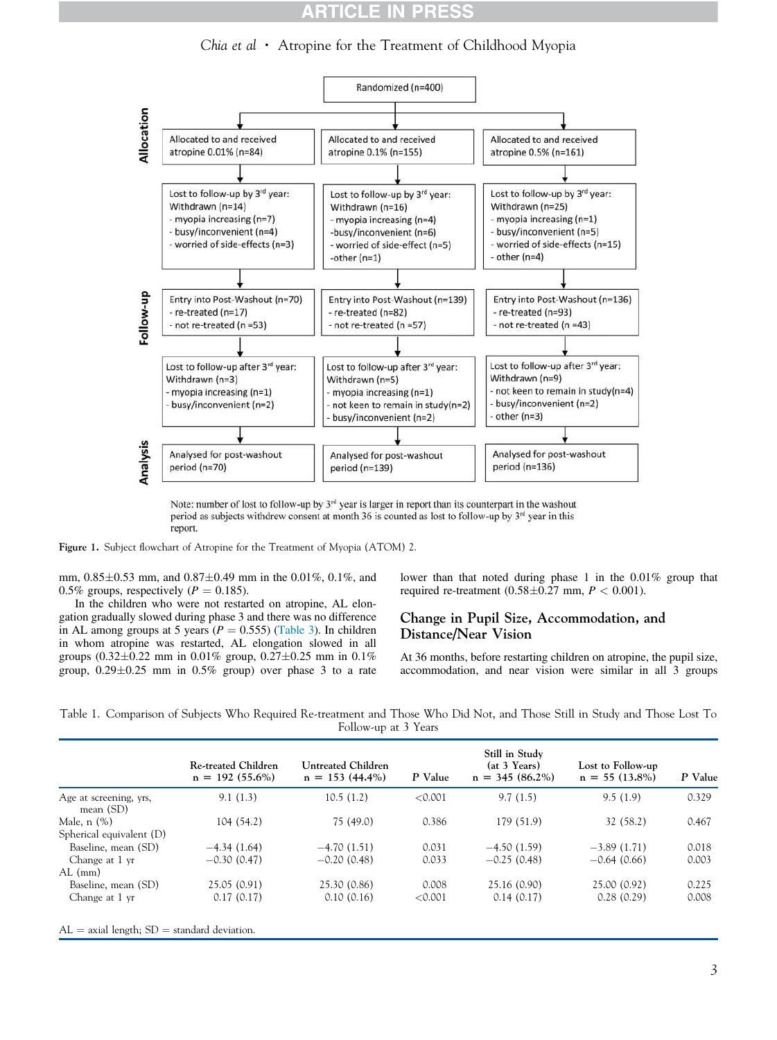### **CLE IN PRES**

Chia et al  $\cdot$  Atropine for the Treatment of Childhood Myopia



Note: number of lost to follow-up by  $3<sup>rd</sup>$  year is larger in report than its counterpart in the washout period as subjects withdrew consent at month 36 is counted as lost to follow-up by 3<sup>rd</sup> year in this report.

Figure 1. Subject flowchart of Atropine for the Treatment of Myopia (ATOM) 2.

mm,  $0.85\pm0.53$  mm, and  $0.87\pm0.49$  mm in the 0.01%, 0.1%, and 0.5% groups, respectively ( $P = 0.185$ ).

In the children who were not restarted on atropine, AL elongation gradually slowed during phase 3 and there was no difference in AL among groups at 5 years ( $P = 0.555$ ) (Table 3). In children in whom atropine was restarted, AL elongation slowed in all groups (0.32 $\pm$ 0.22 mm in 0.01% group, 0.27 $\pm$ 0.25 mm in 0.1% group,  $0.29 \pm 0.25$  mm in  $0.5\%$  group) over phase 3 to a rate

lower than that noted during phase 1 in the 0.01% group that required re-treatment (0.58 $\pm$ 0.27 mm,  $P < 0.001$ ).

#### Change in Pupil Size, Accommodation, and Distance/Near Vision

At 36 months, before restarting children on atropine, the pupil size, accommodation, and near vision were similar in all 3 groups

Table 1. Comparison of Subjects Who Required Re-treatment and Those Who Did Not, and Those Still in Study and Those Lost To Follow-up at 3 Years

|                                       | <b>Re-treated Children</b><br>$n = 192(55.6\%)$ | Untreated Children<br>$n = 153(44.4\%)$ | P Value | Still in Study<br>(at 3 Years)<br>$n = 345(86.2\%)$ | Lost to Follow-up<br>$n = 55(13.8\%)$ | P Value |
|---------------------------------------|-------------------------------------------------|-----------------------------------------|---------|-----------------------------------------------------|---------------------------------------|---------|
| Age at screening, yrs,<br>mean $(SD)$ | 9.1(1.3)                                        | 10.5(1.2)                               | < 0.001 | 9.7(1.5)                                            | 9.5(1.9)                              | 0.329   |
| Male, n (%)                           | 104(54.2)                                       | 75(49.0)                                | 0.386   | 179 (51.9)                                          | 32 (58.2)                             | 0.467   |
| Spherical equivalent (D)              |                                                 |                                         |         |                                                     |                                       |         |
| Baseline, mean (SD)                   | $-4.34(1.64)$                                   | $-4.70(1.51)$                           | 0.031   | $-4.50(1.59)$                                       | $-3.89(1.71)$                         | 0.018   |
| Change at 1 yr                        | $-0.30(0.47)$                                   | $-0.20(0.48)$                           | 0.033   | $-0.25(0.48)$                                       | $-0.64(0.66)$                         | 0.003   |
| AL (mm)                               |                                                 |                                         |         |                                                     |                                       |         |
| Baseline, mean (SD)                   | 25.05(0.91)                                     | 25.30 (0.86)                            | 0.008   | 25.16 (0.90)                                        | 25.00 (0.92)                          | 0.225   |
| Change at 1 yr                        | 0.17(0.17)                                      | 0.10(0.16)                              | < 0.001 | 0.14(0.17)                                          | 0.28(0.29)                            | 0.008   |

 $AL =$  axial length;  $SD =$  standard deviation.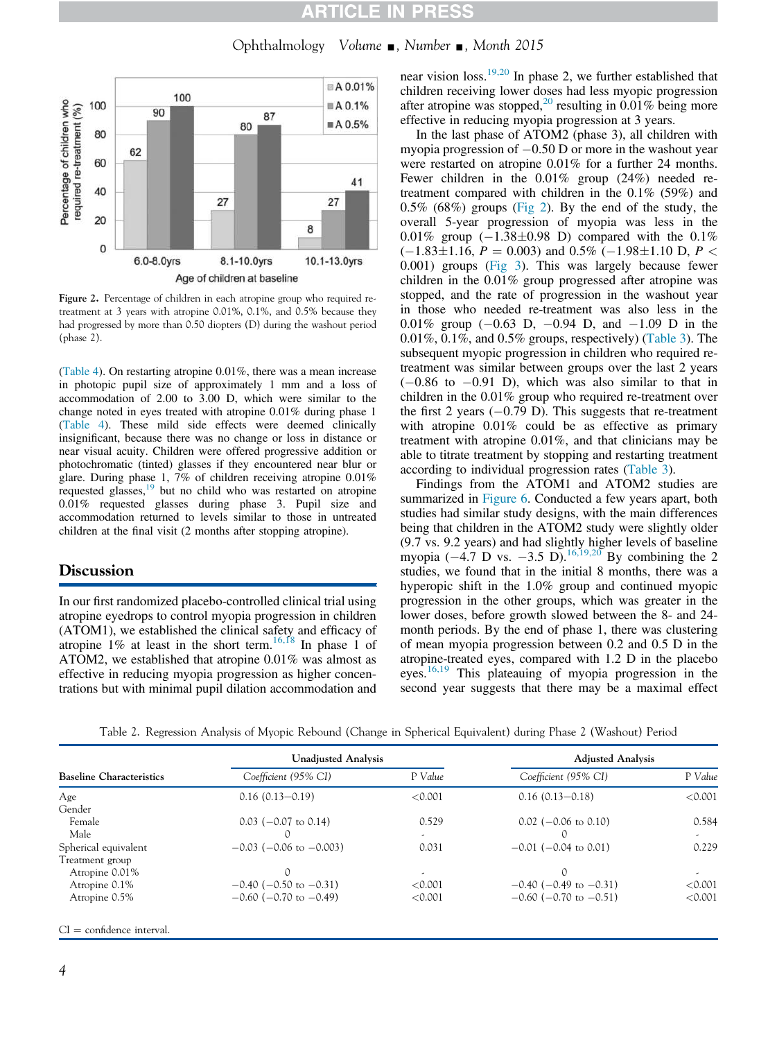#### CLE IN P RES

Ophthalmology Volume  $\Box$ , Number  $\Box$ , Month 2015



Figure 2. Percentage of children in each atropine group who required retreatment at 3 years with atropine 0.01%, 0.1%, and 0.5% because they had progressed by more than 0.50 diopters (D) during the washout period (phase 2).

(Table 4). On restarting atropine 0.01%, there was a mean increase in photopic pupil size of approximately 1 mm and a loss of accommodation of 2.00 to 3.00 D, which were similar to the change noted in eyes treated with atropine 0.01% during phase 1 (Table 4). These mild side effects were deemed clinically insignificant, because there was no change or loss in distance or near visual acuity. Children were offered progressive addition or photochromatic (tinted) glasses if they encountered near blur or glare. During phase 1, 7% of children receiving atropine 0.01% requested glasses, $19$  but no child who was restarted on atropine 0.01% requested glasses during phase 3. Pupil size and accommodation returned to levels similar to those in untreated children at the final visit (2 months after stopping atropine).

#### **Discussion**

In our first randomized placebo-controlled clinical trial using atropine eyedrops to control myopia progression in children (ATOM1), we established the clinical safety and efficacy of atropine  $1\%$  at least in the short term.<sup>16,18</sup> In phase 1 of ATOM2, we established that atropine 0.01% was almost as effective in reducing myopia progression as higher concentrations but with minimal pupil dilation accommodation and

near vision  $loss.<sup>19,20</sup>$  In phase 2, we further established that children receiving lower doses had less myopic progression after atropine was stopped,<sup>20</sup> resulting in  $0.01\%$  being more effective in reducing myopia progression at 3 years.

In the last phase of ATOM2 (phase 3), all children with myopia progression of  $-0.50$  D or more in the washout year were restarted on atropine 0.01% for a further 24 months. Fewer children in the 0.01% group (24%) needed retreatment compared with children in the 0.1% (59%) and 0.5% (68%) groups (Fig 2). By the end of the study, the overall 5-year progression of myopia was less in the 0.01% group  $(-1.38\pm0.98)$  Compared with the 0.1%  $(-1.83\pm1.16, P = 0.003)$  and 0.5%  $(-1.98\pm1.10 \text{ D}, P <$ 0.001) groups (Fig 3). This was largely because fewer children in the 0.01% group progressed after atropine was stopped, and the rate of progression in the washout year in those who needed re-treatment was also less in the 0.01% group  $(-0.63 \text{ D}, -0.94 \text{ D}, \text{ and } -1.09 \text{ D} \text{ in the})$ 0.01%, 0.1%, and 0.5% groups, respectively) (Table 3). The subsequent myopic progression in children who required retreatment was similar between groups over the last 2 years  $(-0.86$  to  $-0.91$  D), which was also similar to that in children in the 0.01% group who required re-treatment over the first 2 years  $(-0.79 \text{ D})$ . This suggests that re-treatment with atropine 0.01% could be as effective as primary treatment with atropine 0.01%, and that clinicians may be able to titrate treatment by stopping and restarting treatment according to individual progression rates (Table 3).

Findings from the ATOM1 and ATOM2 studies are summarized in Figure 6. Conducted a few years apart, both studies had similar study designs, with the main differences being that children in the ATOM2 study were slightly older (9.7 vs. 9.2 years) and had slightly higher levels of baseline myopia ( $-4.7$  D vs.  $-3.5$  D).<sup>16,19,20</sup> By combining the 2 studies, we found that in the initial 8 months, there was a hyperopic shift in the 1.0% group and continued myopic progression in the other groups, which was greater in the lower doses, before growth slowed between the 8- and 24 month periods. By the end of phase 1, there was clustering of mean myopia progression between 0.2 and 0.5 D in the atropine-treated eyes, compared with 1.2 D in the placebo eyes.16,19 This plateauing of myopia progression in the second year suggests that there may be a maximal effect

|                                 | <b>Unadjusted Analysis</b>      |                          | <b>Adjusted Analysis</b>       |                          |  |
|---------------------------------|---------------------------------|--------------------------|--------------------------------|--------------------------|--|
| <b>Baseline Characteristics</b> | Coefficient (95% CI)            | P Value                  | Coefficient (95% CI)           | P Value                  |  |
| Age                             | $0.16(0.13-0.19)$               | < 0.001                  | $0.16(0.13 - 0.18)$            | < 0.001                  |  |
| Gender                          |                                 |                          |                                |                          |  |
| Female                          | $0.03$ (-0.07 to 0.14)          | 0.529                    | $0.02$ (-0.06 to 0.10)         | 0.584                    |  |
| Male                            |                                 | $\overline{\phantom{a}}$ |                                | $\overline{\phantom{a}}$ |  |
| Spherical equivalent            | $-0.03$ ( $-0.06$ to $-0.003$ ) | 0.031                    | $-0.01$ ( $-0.04$ to 0.01)     | 0.229                    |  |
| Treatment group                 |                                 |                          |                                |                          |  |
| Atropine 0.01%                  |                                 | ٠                        |                                | $\overline{\phantom{a}}$ |  |
| Atropine 0.1%                   | $-0.40$ ( $-0.50$ to $-0.31$ )  | < 0.001                  | $-0.40$ ( $-0.49$ to $-0.31$ ) | < 0.001                  |  |
| Atropine 0.5%                   | $-0.60$ ( $-0.70$ to $-0.49$ )  | < 0.001                  | $-0.60$ ( $-0.70$ to $-0.51$ ) | < 0.001                  |  |

Table 2. Regression Analysis of Myopic Rebound (Change in Spherical Equivalent) during Phase 2 (Washout) Period

 $CI =$  confidence interval.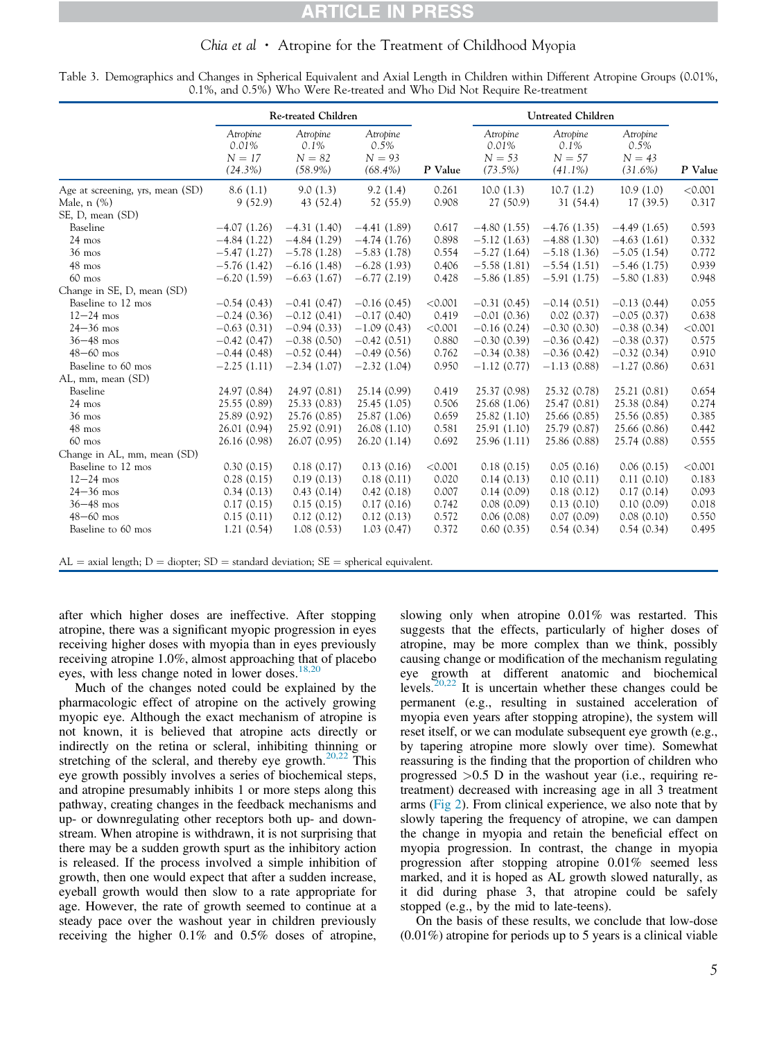### CLE IN

### Chia et al  $\cdot$  Atropine for the Treatment of Childhood Myopia

|                                  | Re-treated Children           |                                 |                              |         | <b>Untreated Children</b>     |                              |                              |         |
|----------------------------------|-------------------------------|---------------------------------|------------------------------|---------|-------------------------------|------------------------------|------------------------------|---------|
|                                  | Atropine<br>0.01%<br>$N = 17$ | Atropine<br>$0.1\%$<br>$N = 82$ | Atropine<br>0.5%<br>$N = 93$ |         | Atropine<br>0.01%<br>$N = 53$ | Atropine<br>0.1%<br>$N = 57$ | Atropine<br>0.5%<br>$N = 43$ |         |
|                                  | $(24.3\%)$                    | $(58.9\%)$                      | $(68.4\%)$                   | P Value | $(73.5\%)$                    | $(41.1\%)$                   | $(31.6\%)$                   | P Value |
| Age at screening, yrs, mean (SD) | 8.6(1.1)                      | 9.0(1.3)                        | 9.2(1.4)                     | 0.261   | 10.0(1.3)                     | 10.7(1.2)                    | 10.9(1.0)                    | < 0.001 |
| Male, $n$ $(\%)$                 | 9(52.9)                       | 43 (52.4)                       | 52 (55.9)                    | 0.908   | 27 (50.9)                     | 31(54.4)                     | 17(39.5)                     | 0.317   |
| SE, D, mean (SD)                 |                               |                                 |                              |         |                               |                              |                              |         |
| Baseline                         | $-4.07(1.26)$                 | $-4.31(1.40)$                   | $-4.41(1.89)$                | 0.617   | $-4.80(1.55)$                 | $-4.76(1.35)$                | $-4.49(1.65)$                | 0.593   |
| $24 \text{ mos}$                 | $-4.84(1.22)$                 | $-4.84(1.29)$                   | $-4.74(1.76)$                | 0.898   | $-5.12(1.63)$                 | $-4.88(1.30)$                | $-4.63(1.61)$                | 0.332   |
| $36 \text{ mos}$                 | $-5.47(1.27)$                 | $-5.78(1.28)$                   | $-5.83(1.78)$                | 0.554   | $-5.27(1.64)$                 | $-5.18(1.36)$                | $-5.05(1.54)$                | 0.772   |
| $48$ mos                         | $-5.76(1.42)$                 | $-6.16(1.48)$                   | $-6.28(1.93)$                | 0.406   | $-5.58(1.81)$                 | $-5.54(1.51)$                | $-5.46(1.75)$                | 0.939   |
| $60$ mos                         | $-6.20(1.59)$                 | $-6.63(1.67)$                   | $-6.77(2.19)$                | 0.428   | $-5.86(1.85)$                 | $-5.91(1.75)$                | $-5.80(1.83)$                | 0.948   |
| Change in SE, D, mean (SD)       |                               |                                 |                              |         |                               |                              |                              |         |
| Baseline to 12 mos               | $-0.54(0.43)$                 | $-0.41(0.47)$                   | $-0.16(0.45)$                | < 0.001 | $-0.31(0.45)$                 | $-0.14(0.51)$                | $-0.13(0.44)$                | 0.055   |
| $12 - 24$ mos                    | $-0.24(0.36)$                 | $-0.12(0.41)$                   | $-0.17(0.40)$                | 0.419   | $-0.01(0.36)$                 | 0.02(0.37)                   | $-0.05(0.37)$                | 0.638   |
| $24 - 36$ mos                    | $-0.63(0.31)$                 | $-0.94(0.33)$                   | $-1.09(0.43)$                | < 0.001 | $-0.16(0.24)$                 | $-0.30(0.30)$                | $-0.38(0.34)$                | < 0.001 |
| $36 - 48$ mos                    | $-0.42(0.47)$                 | $-0.38(0.50)$                   | $-0.42(0.51)$                | 0.880   | $-0.30(0.39)$                 | $-0.36(0.42)$                | $-0.38(0.37)$                | 0.575   |
| $48 - 60$ mos                    | $-0.44(0.48)$                 | $-0.52(0.44)$                   | $-0.49(0.56)$                | 0.762   | $-0.34(0.38)$                 | $-0.36(0.42)$                | $-0.32(0.34)$                | 0.910   |
| Baseline to 60 mos               | $-2.25(1.11)$                 | $-2.34(1.07)$                   | $-2.32(1.04)$                | 0.950   | $-1.12(0.77)$                 | $-1.13(0.88)$                | $-1.27(0.86)$                | 0.631   |
| AL, mm, mean (SD)                |                               |                                 |                              |         |                               |                              |                              |         |
| Baseline                         | 24.97 (0.84)                  | 24.97 (0.81)                    | 25.14 (0.99)                 | 0.419   | 25.37 (0.98)                  | 25.32 (0.78)                 | 25.21 (0.81)                 | 0.654   |
| $24 \text{ mos}$                 | 25.55 (0.89)                  | 25.33 (0.83)                    | 25.45 (1.05)                 | 0.506   | 25.68 (1.06)                  | 25.47 (0.81)                 | 25.38 (0.84)                 | 0.274   |
| $36 \text{ mos}$                 | 25.89 (0.92)                  | 25.76 (0.85)                    | 25.87 (1.06)                 | 0.659   | 25.82 (1.10)                  | 25.66 (0.85)                 | 25.56 (0.85)                 | 0.385   |
| 48 mos                           | 26.01 (0.94)                  | 25.92 (0.91)                    | 26.08 (1.10)                 | 0.581   | 25.91(1.10)                   | 25.79 (0.87)                 | 25.66 (0.86)                 | 0.442   |
| $60$ mos                         | 26.16 (0.98)                  | 26.07 (0.95)                    | 26.20(1.14)                  | 0.692   | 25.96 (1.11)                  | 25.86 (0.88)                 | 25.74 (0.88)                 | 0.555   |
| Change in AL, mm, mean (SD)      |                               |                                 |                              |         |                               |                              |                              |         |
| Baseline to 12 mos               | 0.30(0.15)                    | 0.18(0.17)                      | 0.13(0.16)                   | < 0.001 | 0.18(0.15)                    | 0.05(0.16)                   | 0.06(0.15)                   | < 0.001 |
| $12 - 24$ mos                    | 0.28(0.15)                    | 0.19(0.13)                      | 0.18(0.11)                   | 0.020   | 0.14(0.13)                    | 0.10(0.11)                   | 0.11(0.10)                   | 0.183   |
| $24 - 36$ mos                    | 0.34(0.13)                    | 0.43(0.14)                      | 0.42(0.18)                   | 0.007   | 0.14(0.09)                    | 0.18(0.12)                   | 0.17(0.14)                   | 0.093   |
| $36 - 48$ mos                    | 0.17(0.15)                    | 0.15(0.15)                      | 0.17(0.16)                   | 0.742   | 0.08(0.09)                    | 0.13(0.10)                   | 0.10(0.09)                   | 0.018   |
| $48 - 60$ mos                    | 0.15(0.11)                    | 0.12(0.12)                      | 0.12(0.13)                   | 0.572   | 0.06(0.08)                    | 0.07(0.09)                   | 0.08(0.10)                   | 0.550   |
| Baseline to 60 mos               | 1.21(0.54)                    | 1.08(0.53)                      | 1.03(0.47)                   | 0.372   | 0.60(0.35)                    | 0.54(0.34)                   | 0.54(0.34)                   | 0.495   |

Table 3. Demographics and Changes in Spherical Equivalent and Axial Length in Children within Different Atropine Groups (0.01%, 0.1%, and 0.5%) Who Were Re-treated and Who Did Not Require Re-treatment

 $AL =$  axial length;  $D =$  diopter;  $SD =$  standard deviation;  $SE =$  spherical equivalent.

after which higher doses are ineffective. After stopping atropine, there was a significant myopic progression in eyes receiving higher doses with myopia than in eyes previously receiving atropine 1.0%, almost approaching that of placebo eyes, with less change noted in lower doses. $18,20$ 

Much of the changes noted could be explained by the pharmacologic effect of atropine on the actively growing myopic eye. Although the exact mechanism of atropine is not known, it is believed that atropine acts directly or indirectly on the retina or scleral, inhibiting thinning or stretching of the scleral, and thereby eye growth.<sup>20,22</sup> This eye growth possibly involves a series of biochemical steps, and atropine presumably inhibits 1 or more steps along this pathway, creating changes in the feedback mechanisms and up- or downregulating other receptors both up- and downstream. When atropine is withdrawn, it is not surprising that there may be a sudden growth spurt as the inhibitory action is released. If the process involved a simple inhibition of growth, then one would expect that after a sudden increase, eyeball growth would then slow to a rate appropriate for age. However, the rate of growth seemed to continue at a steady pace over the washout year in children previously receiving the higher 0.1% and 0.5% doses of atropine,

slowing only when atropine 0.01% was restarted. This suggests that the effects, particularly of higher doses of atropine, may be more complex than we think, possibly causing change or modification of the mechanism regulating eye growth at different anatomic and biochemical levels.<sup>20,22</sup> It is uncertain whether these changes could be permanent (e.g., resulting in sustained acceleration of myopia even years after stopping atropine), the system will reset itself, or we can modulate subsequent eye growth (e.g., by tapering atropine more slowly over time). Somewhat reassuring is the finding that the proportion of children who progressed  $>0.5$  D in the washout year (i.e., requiring retreatment) decreased with increasing age in all 3 treatment arms (Fig 2). From clinical experience, we also note that by slowly tapering the frequency of atropine, we can dampen the change in myopia and retain the beneficial effect on myopia progression. In contrast, the change in myopia progression after stopping atropine 0.01% seemed less marked, and it is hoped as AL growth slowed naturally, as it did during phase 3, that atropine could be safely stopped (e.g., by the mid to late-teens).

On the basis of these results, we conclude that low-dose (0.01%) atropine for periods up to 5 years is a clinical viable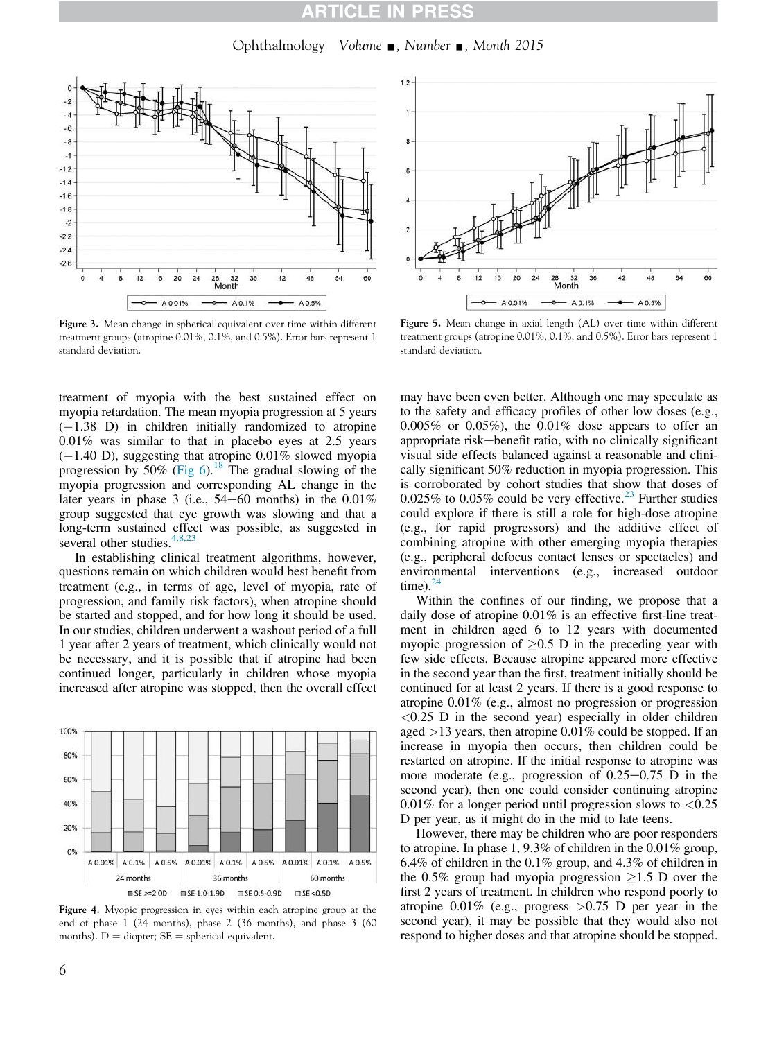### CLET

Ophthalmology Volume  $\Box$ , Number  $\Box$ , Month 2015



Figure 3. Mean change in spherical equivalent over time within different treatment groups (atropine 0.01%, 0.1%, and 0.5%). Error bars represent 1 standard deviation.

treatment of myopia with the best sustained effect on myopia retardation. The mean myopia progression at 5 years  $(-1.38)$  D) in children initially randomized to atropine 0.01% was similar to that in placebo eyes at 2.5 years  $(-1.40 \text{ D})$ , suggesting that atropine 0.01% slowed myopia progression by  $50\%$  (Fig 6).<sup>18</sup> The gradual slowing of the myopia progression and corresponding AL change in the later years in phase 3 (i.e.,  $54-60$  months) in the  $0.01\%$ group suggested that eye growth was slowing and that a long-term sustained effect was possible, as suggested in several other studies. $4,8$ ,

In establishing clinical treatment algorithms, however, questions remain on which children would best benefit from treatment (e.g., in terms of age, level of myopia, rate of progression, and family risk factors), when atropine should be started and stopped, and for how long it should be used. In our studies, children underwent a washout period of a full 1 year after 2 years of treatment, which clinically would not be necessary, and it is possible that if atropine had been continued longer, particularly in children whose myopia increased after atropine was stopped, then the overall effect



Figure 4. Myopic progression in eyes within each atropine group at the end of phase 1 (24 months), phase 2 (36 months), and phase 3 (60 months).  $D =$  diopter;  $SE =$  spherical equivalent.



Figure 5. Mean change in axial length (AL) over time within different treatment groups (atropine 0.01%, 0.1%, and 0.5%). Error bars represent 1 standard deviation.

may have been even better. Although one may speculate as to the safety and efficacy profiles of other low doses (e.g.,  $0.005\%$  or  $0.05\%$ ), the  $0.01\%$  dose appears to offer an appropriate risk-benefit ratio, with no clinically significant visual side effects balanced against a reasonable and clinically significant 50% reduction in myopia progression. This is corroborated by cohort studies that show that doses of  $0.025\%$  to  $0.05\%$  could be very effective.<sup>23</sup> Further studies could explore if there is still a role for high-dose atropine (e.g., for rapid progressors) and the additive effect of combining atropine with other emerging myopia therapies (e.g., peripheral defocus contact lenses or spectacles) and environmental interventions (e.g., increased outdoor time). $^{24}$ 

Within the confines of our finding, we propose that a daily dose of atropine 0.01% is an effective first-line treatment in children aged 6 to 12 years with documented myopic progression of  $\geq 0.5$  D in the preceding year with few side effects. Because atropine appeared more effective in the second year than the first, treatment initially should be continued for at least 2 years. If there is a good response to atropine 0.01% (e.g., almost no progression or progression  $< 0.25$  D in the second year) especially in older children aged >13 years, then atropine 0.01% could be stopped. If an increase in myopia then occurs, then children could be restarted on atropine. If the initial response to atropine was more moderate (e.g., progression of  $0.25-0.75$  D in the second year), then one could consider continuing atropine 0.01% for a longer period until progression slows to  $\langle 0.25 \rangle$ D per year, as it might do in the mid to late teens.

However, there may be children who are poor responders to atropine. In phase 1, 9.3% of children in the 0.01% group, 6.4% of children in the 0.1% group, and 4.3% of children in the 0.5% group had myopia progression  $\geq$ 1.5 D over the first 2 years of treatment. In children who respond poorly to atropine  $0.01\%$  (e.g., progress  $>0.75$  D per year in the second year), it may be possible that they would also not respond to higher doses and that atropine should be stopped.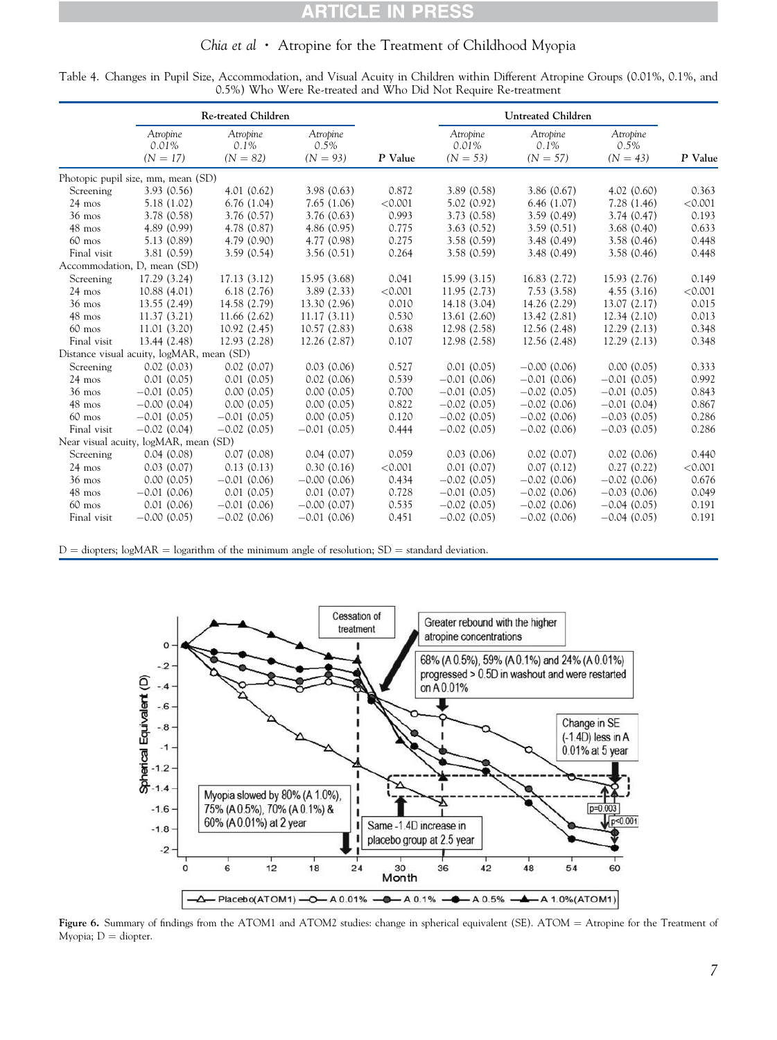### **RTICLE IN PRESS**

### Chia et al • Atropine for the Treatment of Childhood Myopia

| Table 4. Changes in Pupil Size, Accommodation, and Visual Acuity in Children within Different Atropine Groups (0.01%, 0.1%, and |                                                                |  |  |  |
|---------------------------------------------------------------------------------------------------------------------------------|----------------------------------------------------------------|--|--|--|
|                                                                                                                                 | 0.5%) Who Were Re-treated and Who Did Not Require Re-treatment |  |  |  |

|                                       | <b>Re-treated Children</b>                |                                   |                                |         | Untreated Children              |                                   |                                |         |
|---------------------------------------|-------------------------------------------|-----------------------------------|--------------------------------|---------|---------------------------------|-----------------------------------|--------------------------------|---------|
|                                       | Atropine<br>0.01%<br>$(N = 17)$           | Atropine<br>$0.1\%$<br>$(N = 82)$ | Atropine<br>0.5%<br>$(N = 93)$ | P Value | Atropine<br>0.01%<br>$(N = 53)$ | Atropine<br>$0.1\%$<br>$(N = 57)$ | Atropine<br>0.5%<br>$(N = 43)$ | P Value |
|                                       | Photopic pupil size, mm, mean (SD)        |                                   |                                |         |                                 |                                   |                                |         |
| Screening                             | 3.93(0.56)                                | 4.01(0.62)                        | 3.98(0.63)                     | 0.872   | 3.89(0.58)                      | 3.86(0.67)                        | 4.02(0.60)                     | 0.363   |
| $24 \text{ mos}$                      | 5.18(1.02)                                | 6.76(1.04)                        | 7.65(1.06)                     | < 0.001 | 5.02(0.92)                      | 6.46(1.07)                        | 7.28(1.46)                     | < 0.001 |
| $36$ mos                              | 3.78 (0.58)                               | 3.76 (0.57)                       | 3.76(0.63)                     | 0.993   | 3.73(0.58)                      | 3.59(0.49)                        | 3.74(0.47)                     | 0.193   |
| $48$ mos                              | 4.89(0.99)                                | 4.78 (0.87)                       | 4.86(0.95)                     | 0.775   | 3.63(0.52)                      | 3.59(0.51)                        | 3.68(0.40)                     | 0.633   |
| $60$ mos                              | 5.13(0.89)                                | 4.79 (0.90)                       | 4.77 (0.98)                    | 0.275   | 3.58(0.59)                      | 3.48 (0.49)                       | 3.58(0.46)                     | 0.448   |
| Final visit                           | 3.81(0.59)                                | 3.59(0.54)                        | 3.56(0.51)                     | 0.264   | 3.58(0.59)                      | 3.48(0.49)                        | 3.58(0.46)                     | 0.448   |
|                                       | Accommodation, D, mean (SD)               |                                   |                                |         |                                 |                                   |                                |         |
| Screening                             | 17.29 (3.24)                              | 17.13 (3.12)                      | 15.95 (3.68)                   | 0.041   | 15.99(3.15)                     | 16.83(2.72)                       | 15.93 (2.76)                   | 0.149   |
| 24 mos                                | 10.88 (4.01)                              | 6.18(2.76)                        | 3.89(2.33)                     | < 0.001 | 11.95(2.73)                     | 7.53(3.58)                        | 4.55(3.16)                     | < 0.001 |
| $36 \text{ mos}$                      | 13.55(2.49)                               | 14.58 (2.79)                      | 13.30 (2.96)                   | 0.010   | 14.18 (3.04)                    | 14.26 (2.29)                      | 13.07 (2.17)                   | 0.015   |
| $48$ mos                              | 11.37(3.21)                               | 11.66 (2.62)                      | 11.17(3.11)                    | 0.530   | 13.61 (2.60)                    | 13.42 (2.81)                      | 12.34(2.10)                    | 0.013   |
| $60$ mos                              | 11.01 (3.20)                              | 10.92(2.45)                       | 10.57(2.83)                    | 0.638   | 12.98 (2.58)                    | 12.56 (2.48)                      | 12.29(2.13)                    | 0.348   |
| Final visit                           | 13.44 (2.48)                              | 12.93 (2.28)                      | 12.26 (2.87)                   | 0.107   | 12.98 (2.58)                    | 12.56 (2.48)                      | 12.29(2.13)                    | 0.348   |
|                                       | Distance visual acuity, logMAR, mean (SD) |                                   |                                |         |                                 |                                   |                                |         |
| Screening                             | 0.02(0.03)                                | 0.02(0.07)                        | 0.03(0.06)                     | 0.527   | 0.01(0.05)                      | $-0.00$ (0.06)                    | 0.00(0.05)                     | 0.333   |
| $24 \text{ mos}$                      | 0.01(0.05)                                | 0.01(0.05)                        | 0.02(0.06)                     | 0.539   | $-0.01(0.06)$                   | $-0.01(0.06)$                     | $-0.01(0.05)$                  | 0.992   |
| $36 \text{ mos}$                      | $-0.01(0.05)$                             | 0.00(0.05)                        | 0.00(0.05)                     | 0.700   | $-0.01(0.05)$                   | $-0.02(0.05)$                     | $-0.01(0.05)$                  | 0.843   |
| 48 mos                                | $-0.00$ $(0.04)$                          | 0.00(0.05)                        | 0.00(0.05)                     | 0.822   | $-0.02(0.05)$                   | $-0.02(0.06)$                     | $-0.01(0.04)$                  | 0.867   |
| $60$ mos                              | $-0.01(0.05)$                             | $-0.01(0.05)$                     | 0.00(0.05)                     | 0.120   | $-0.02(0.05)$                   | $-0.02(0.06)$                     | $-0.03(0.05)$                  | 0.286   |
| Final visit                           | $-0.02(0.04)$                             | $-0.02(0.05)$                     | $-0.01(0.05)$                  | 0.444   | $-0.02(0.05)$                   | $-0.02(0.06)$                     | $-0.03(0.05)$                  | 0.286   |
| Near visual acuity, logMAR, mean (SD) |                                           |                                   |                                |         |                                 |                                   |                                |         |
| Screening                             | 0.04(0.08)                                | 0.07(0.08)                        | 0.04(0.07)                     | 0.059   | 0.03(0.06)                      | 0.02(0.07)                        | 0.02(0.06)                     | 0.440   |
| $24 \text{ mos}$                      | 0.03(0.07)                                | 0.13(0.13)                        | 0.30(0.16)                     | < 0.001 | 0.01(0.07)                      | 0.07(0.12)                        | 0.27(0.22)                     | < 0.001 |
| $36 \text{ mos}$                      | 0.00(0.05)                                | $-0.01(0.06)$                     | $-0.00$ (0.06)                 | 0.434   | $-0.02(0.05)$                   | $-0.02(0.06)$                     | $-0.02(0.06)$                  | 0.676   |
| $48 \text{ mos}$                      | $-0.01(0.06)$                             | 0.01(0.05)                        | 0.01(0.07)                     | 0.728   | $-0.01(0.05)$                   | $-0.02(0.06)$                     | $-0.03(0.06)$                  | 0.049   |
| $60$ mos                              | 0.01(0.06)                                | $-0.01(0.06)$                     | $-0.00$ (0.07)                 | 0.535   | $-0.02(0.05)$                   | $-0.02(0.06)$                     | $-0.04(0.05)$                  | 0.191   |
| Final visit                           | $-0.00$ (0.05)                            | $-0.02(0.06)$                     | $-0.01(0.06)$                  | 0.451   | $-0.02(0.05)$                   | $-0.02(0.06)$                     | $-0.04(0.05)$                  | 0.191   |

 $D =$  diopters; logMAR = logarithm of the minimum angle of resolution;  $SD =$  standard deviation.



Figure 6. Summary of findings from the ATOM1 and ATOM2 studies: change in spherical equivalent (SE). ATOM = Atropine for the Treatment of Myopia;  $D =$  diopter.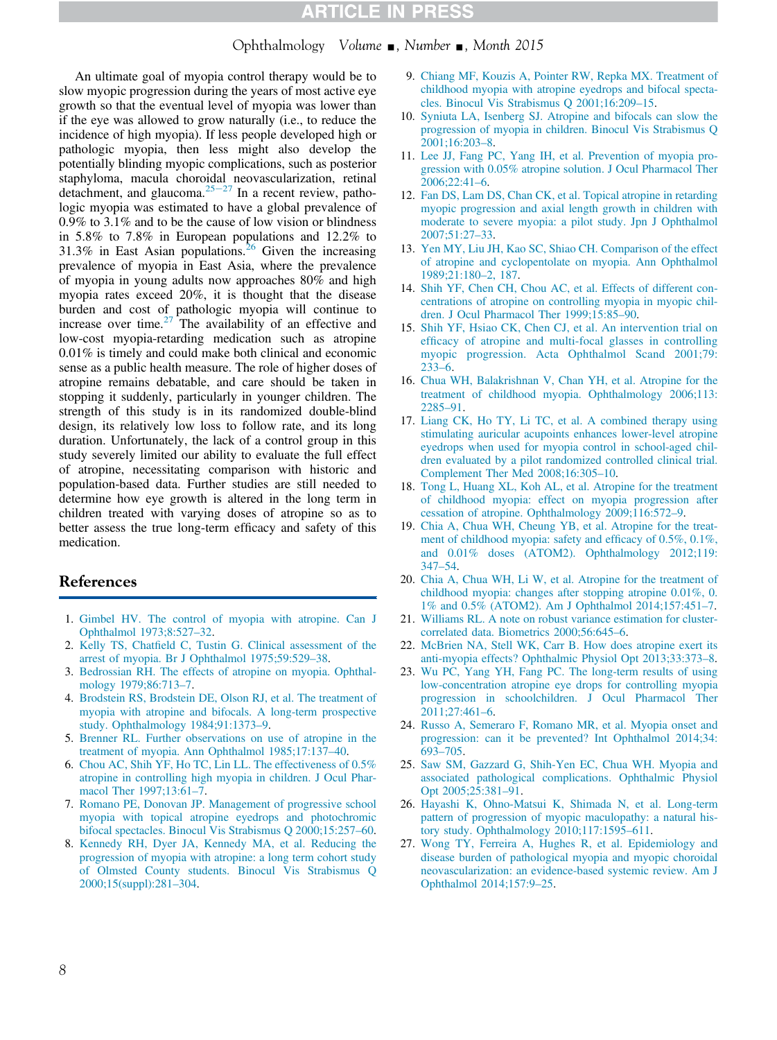### **CLE IN PRES**

Ophthalmology Volume  $\Box$ , Number  $\Box$ , Month 2015

An ultimate goal of myopia control therapy would be to slow myopic progression during the years of most active eye growth so that the eventual level of myopia was lower than if the eye was allowed to grow naturally (i.e., to reduce the incidence of high myopia). If less people developed high or pathologic myopia, then less might also develop the potentially blinding myopic complications, such as posterior staphyloma, macula choroidal neovascularization, retinal detachment, and glaucoma. $25-27$  In a recent review, pathologic myopia was estimated to have a global prevalence of 0.9% to 3.1% and to be the cause of low vision or blindness in 5.8% to 7.8% in European populations and 12.2% to 31.3% in East Asian populations.<sup>26</sup> Given the increasing prevalence of myopia in East Asia, where the prevalence of myopia in young adults now approaches 80% and high myopia rates exceed 20%, it is thought that the disease burden and cost of pathologic myopia will continue to increase over time. $27$  The availability of an effective and low-cost myopia-retarding medication such as atropine 0.01% is timely and could make both clinical and economic sense as a public health measure. The role of higher doses of atropine remains debatable, and care should be taken in stopping it suddenly, particularly in younger children. The strength of this study is in its randomized double-blind design, its relatively low loss to follow rate, and its long duration. Unfortunately, the lack of a control group in this study severely limited our ability to evaluate the full effect of atropine, necessitating comparison with historic and population-based data. Further studies are still needed to determine how eye growth is altered in the long term in children treated with varying doses of atropine so as to better assess the true long-term efficacy and safety of this medication.

### References

- 1. Gimbel HV. The control of myopia with atropine. Can J Ophthalmol 1973;8:527–32.
- 2. Kelly TS, Chatfield C, Tustin G. Clinical assessment of the arrest of myopia. Br J Ophthalmol 1975;59:529–38.
- 3. Bedrossian RH. The effects of atropine on myopia. Ophthalmology 1979;86:713–7.
- 4. Brodstein RS, Brodstein DE, Olson RJ, et al. The treatment of myopia with atropine and bifocals. A long-term prospective study. Ophthalmology 1984;91:1373–9.
- 5. Brenner RL. Further observations on use of atropine in the treatment of myopia. Ann Ophthalmol 1985;17:137–40.
- 6. Chou AC, Shih YF, Ho TC, Lin LL. The effectiveness of 0.5% atropine in controlling high myopia in children. J Ocul Pharmacol Ther 1997;13:61–7.
- 7. Romano PE, Donovan JP. Management of progressive school myopia with topical atropine eyedrops and photochromic bifocal spectacles. Binocul Vis Strabismus Q 2000;15:257–60.
- 8. Kennedy RH, Dyer JA, Kennedy MA, et al. Reducing the progression of myopia with atropine: a long term cohort study of Olmsted County students. Binocul Vis Strabismus Q 2000;15(suppl):281–304.
- 9. Chiang MF, Kouzis A, Pointer RW, Repka MX. Treatment of childhood myopia with atropine eyedrops and bifocal spectacles. Binocul Vis Strabismus Q 2001;16:209–15.
- 10. Syniuta LA, Isenberg SJ. Atropine and bifocals can slow the progression of myopia in children. Binocul Vis Strabismus Q 2001;16:203–8.
- 11. Lee JJ, Fang PC, Yang IH, et al. Prevention of myopia progression with 0.05% atropine solution. J Ocul Pharmacol Ther 2006;22:41–6.
- 12. Fan DS, Lam DS, Chan CK, et al. Topical atropine in retarding myopic progression and axial length growth in children with moderate to severe myopia: a pilot study. Jpn J Ophthalmol 2007;51:27–33.
- 13. Yen MY, Liu JH, Kao SC, Shiao CH. Comparison of the effect of atropine and cyclopentolate on myopia. Ann Ophthalmol 1989;21:180–2, 187.
- 14. Shih YF, Chen CH, Chou AC, et al. Effects of different concentrations of atropine on controlling myopia in myopic children. J Ocul Pharmacol Ther 1999;15:85–90.
- 15. Shih YF, Hsiao CK, Chen CJ, et al. An intervention trial on efficacy of atropine and multi-focal glasses in controlling myopic progression. Acta Ophthalmol Scand 2001;79: 233–6.
- 16. Chua WH, Balakrishnan V, Chan YH, et al. Atropine for the treatment of childhood myopia. Ophthalmology 2006;113: 2285–91.
- 17. Liang CK, Ho TY, Li TC, et al. A combined therapy using stimulating auricular acupoints enhances lower-level atropine eyedrops when used for myopia control in school-aged children evaluated by a pilot randomized controlled clinical trial. Complement Ther Med 2008;16:305–10.
- 18. Tong L, Huang XL, Koh AL, et al. Atropine for the treatment of childhood myopia: effect on myopia progression after cessation of atropine. Ophthalmology 2009;116:572–9.
- 19. Chia A, Chua WH, Cheung YB, et al. Atropine for the treatment of childhood myopia: safety and efficacy of 0.5%, 0.1%, and 0.01% doses (ATOM2). Ophthalmology 2012;119: 347–54.
- 20. Chia A, Chua WH, Li W, et al. Atropine for the treatment of childhood myopia: changes after stopping atropine 0.01%, 0. 1% and 0.5% (ATOM2). Am J Ophthalmol 2014;157:451–7.
- 21. Williams RL. A note on robust variance estimation for clustercorrelated data. Biometrics 2000;56:645–6.
- 22. McBrien NA, Stell WK, Carr B. How does atropine exert its anti-myopia effects? Ophthalmic Physiol Opt 2013;33:373–8.
- 23. Wu PC, Yang YH, Fang PC. The long-term results of using low-concentration atropine eye drops for controlling myopia progression in schoolchildren. J Ocul Pharmacol Ther 2011;27:461–6.
- 24. Russo A, Semeraro F, Romano MR, et al. Myopia onset and progression: can it be prevented? Int Ophthalmol 2014;34: 693–705.
- 25. Saw SM, Gazzard G, Shih-Yen EC, Chua WH. Myopia and associated pathological complications. Ophthalmic Physiol Opt 2005;25:381–91.
- 26. Hayashi K, Ohno-Matsui K, Shimada N, et al. Long-term pattern of progression of myopic maculopathy: a natural history study. Ophthalmology 2010;117:1595–611.
- 27. Wong TY, Ferreira A, Hughes R, et al. Epidemiology and disease burden of pathological myopia and myopic choroidal neovascularization: an evidence-based systemic review. Am J Ophthalmol 2014;157:9–25.